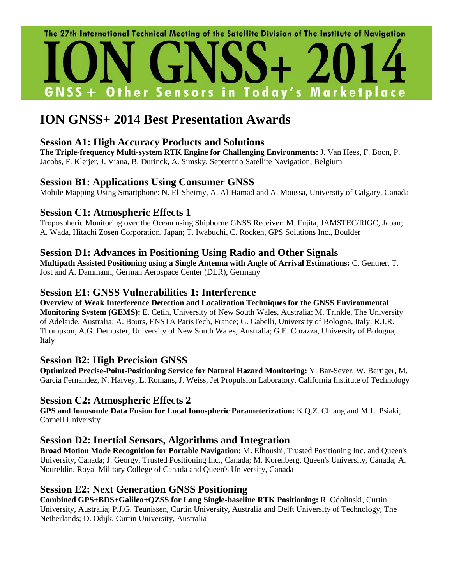

# **ION GNSS+ 2014 Best Presentation Awards**

#### **Session A1: High Accuracy Products and Solutions**

**The Triple-frequency Multi-system RTK Engine for Challenging Environments:** J. Van Hees, F. Boon, P. Jacobs, F. Kleijer, J. Viana, B. Durinck, A. Simsky, Septentrio Satellite Navigation, Belgium

# **Session B1: Applications Using Consumer GNSS**

Mobile Mapping Using Smartphone: N. El-Sheimy, A. Al-Hamad and A. Moussa, University of Calgary, Canada

# **Session C1: Atmospheric Effects 1**

Tropospheric Monitoring over the Ocean using Shipborne GNSS Receiver: M. Fujita, JAMSTEC/RIGC, Japan; A. Wada, Hitachi Zosen Corporation, Japan; T. Iwabuchi, C. Rocken, GPS Solutions Inc., Boulder

# **Session D1: Advances in Positioning Using Radio and Other Signals**

**Multipath Assisted Positioning using a Single Antenna with Angle of Arrival Estimations:** C. Gentner, T. Jost and A. Dammann, German Aerospace Center (DLR), Germany

#### **Session E1: GNSS Vulnerabilities 1: Interference**

**Overview of Weak Interference Detection and Localization Techniques for the GNSS Environmental Monitoring System (GEMS):** E. Cetin, University of New South Wales, Australia; M. Trinkle, The University of Adelaide, Australia; A. Bours, ENSTA ParisTech, France; G. Gabelli, University of Bologna, Italy; R.J.R. Thompson, A.G. Dempster, University of New South Wales, Australia; G.E. Corazza, University of Bologna, Italy

# **Session B2: High Precision GNSS**

**Optimized Precise-Point-Positioning Service for Natural Hazard Monitoring:** Y. Bar-Sever, W. Bertiger, M. Garcia Fernandez, N. Harvey, L. Romans, J. Weiss, Jet Propulsion Laboratory, California Institute of Technology

# **Session C2: Atmospheric Effects 2**

**GPS and Ionosonde Data Fusion for Local Ionospheric Parameterization:** K.Q.Z. Chiang and M.L. Psiaki, Cornell University

# **Session D2: Inertial Sensors, Algorithms and Integration**

**Broad Motion Mode Recognition for Portable Navigation:** M. Elhoushi, Trusted Positioning Inc. and Queen's University, Canada; J. Georgy, Trusted Positioning Inc., Canada; M. Korenberg, Queen's University, Canada; A. Noureldin, Royal Military College of Canada and Queen's University, Canada

# **Session E2: Next Generation GNSS Positioning**

**Combined GPS+BDS+Galileo+QZSS for Long Single-baseline RTK Positioning:** R. Odolinski, Curtin University, Australia; P.J.G. Teunissen, Curtin University, Australia and Delft University of Technology, The Netherlands; D. Odijk, Curtin University, Australia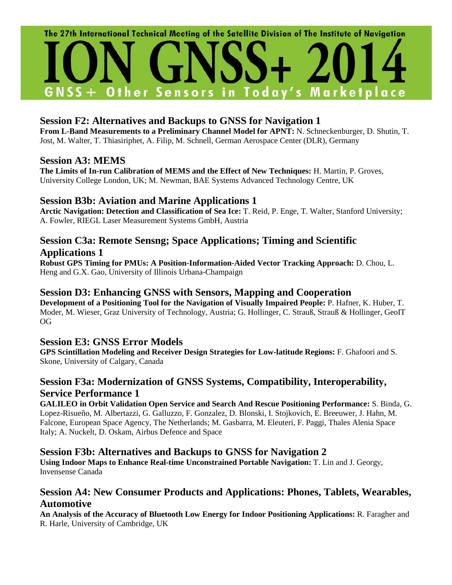

# **Session F2: Alternatives and Backups to GNSS for Navigation 1**

**From L-Band Measurements to a Preliminary Channel Model for APNT:** N. Schneckenburger, D. Shutin, T. Jost, M. Walter, T. Thiasiriphet, A. Filip, M. Schnell, German Aerospace Center (DLR), Germany

#### **Session A3: MEMS**

**The Limits of In-run Calibration of MEMS and the Effect of New Techniques:** H. Martin, P. Groves, University College London, UK; M. Newman, BAE Systems Advanced Technology Centre, UK

# **Session B3b: Aviation and Marine Applications 1**

**Arctic Navigation: Detection and Classification of Sea Ice:** T. Reid, P. Enge, T. Walter, Stanford University; A. Fowler, RIEGL Laser Measurement Systems GmbH, Austria

# **Session C3a: Remote Sensng; Space Applications; Timing and Scientific Applications 1**

**Robust GPS Timing for PMUs: A Position-Information-Aided Vector Tracking Approach:** D. Chou, L. Heng and G.X. Gao, University of Illinois Urbana-Champaign

#### **Session D3: Enhancing GNSS with Sensors, Mapping and Cooperation**

**Development of a Positioning Tool for the Navigation of Visually Impaired People:** P. Hafner, K. Huber, T. Moder, M. Wieser, Graz University of Technology, Austria; G. Hollinger, C. Strauß, Strauß & Hollinger, GeoIT OG

#### **Session E3: GNSS Error Models**

**GPS Scintillation Modeling and Receiver Design Strategies for Low-latitude Regions:** F. Ghafoori and S. Skone, University of Calgary, Canada

# **Session F3a: Modernization of GNSS Systems, Compatibility, Interoperability, Service Performance 1**

**GALILEO in Orbit Validation Open Service and Search And Rescue Positioning Performance:** S. Binda, G. Lopez-Risueño, M. Albertazzi, G. Galluzzo, F. Gonzalez, D. Blonski, I. Stojkovich, E. Breeuwer, J. Hahn, M. Falcone, European Space Agency, The Netherlands; M. Gasbarra, M. Eleuteri, F. Paggi, Thales Alenia Space Italy; A. Nuckelt, D. Oskam, Airbus Defence and Space

# **Session F3b: Alternatives and Backups to GNSS for Navigation 2**

**Using Indoor Maps to Enhance Real-time Unconstrained Portable Navigation:** T. Lin and J. Georgy, Invensense Canada

# **Session A4: New Consumer Products and Applications: Phones, Tablets, Wearables, Automotive**

**An Analysis of the Accuracy of Bluetooth Low Energy for Indoor Positioning Applications:** R. Faragher and R. Harle, University of Cambridge, UK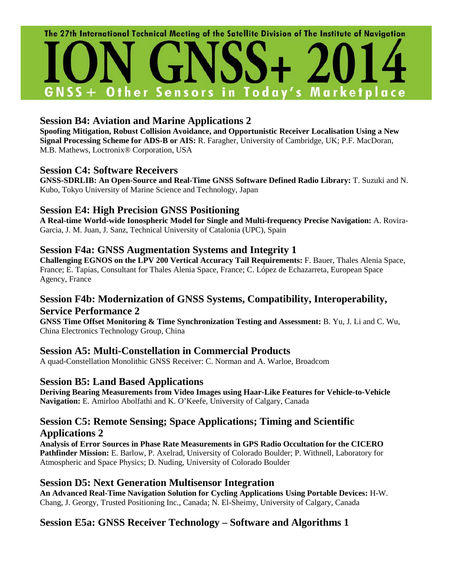

# **Session B4: Aviation and Marine Applications 2**

**Spoofing Mitigation, Robust Collision Avoidance, and Opportunistic Receiver Localisation Using a New Signal Processing Scheme for ADS-B or AIS:** R. Faragher, University of Cambridge, UK; P.F. MacDoran, M.B. Mathews, Loctronix® Corporation, USA

# **Session C4: Software Receivers**

**GNSS-SDRLIB: An Open-Source and Real-Time GNSS Software Defined Radio Library:** T. Suzuki and N. Kubo, Tokyo University of Marine Science and Technology, Japan

# **Session E4: High Precision GNSS Positioning**

**A Real-time World-wide Ionospheric Model for Single and Multi-frequency Precise Navigation:** A. Rovira-Garcia, J. M. Juan, J. Sanz, Technical University of Catalonia (UPC), Spain

# **Session F4a: GNSS Augmentation Systems and Integrity 1**

**Challenging EGNOS on the LPV 200 Vertical Accuracy Tail Requirements:** F. Bauer, Thales Alenia Space, France; E. Tapias, Consultant for Thales Alenia Space, France; C. López de Echazarreta, European Space Agency, France

# **Session F4b: Modernization of GNSS Systems, Compatibility, Interoperability, Service Performance 2**

**GNSS Time Offset Monitoring & Time Synchronization Testing and Assessment:** B. Yu, J. Li and C. Wu, China Electronics Technology Group, China

# **Session A5: Multi-Constellation in Commercial Products**

A quad-Constellation Monolithic GNSS Receiver: C. Norman and A. Warloe, Broadcom

# **Session B5: Land Based Applications**

**Deriving Bearing Measurements from Video Images using Haar-Like Features for Vehicle-to-Vehicle Navigation:** E. Amirloo Abolfathi and K. O'Keefe, University of Calgary, Canada

# **Session C5: Remote Sensing; Space Applications; Timing and Scientific Applications 2**

**Analysis of Error Sources in Phase Rate Measurements in GPS Radio Occultation for the CICERO Pathfinder Mission:** E. Barlow, P. Axelrad, University of Colorado Boulder; P. Withnell, Laboratory for Atmospheric and Space Physics; D. Nuding, University of Colorado Boulder

# **Session D5: Next Generation Multisensor Integration**

**An Advanced Real-Time Navigation Solution for Cycling Applications Using Portable Devices:** H-W. Chang, J. Georgy, Trusted Positioning Inc., Canada; N. El-Sheimy, University of Calgary, Canada

# **Session E5a: GNSS Receiver Technology – Software and Algorithms 1**